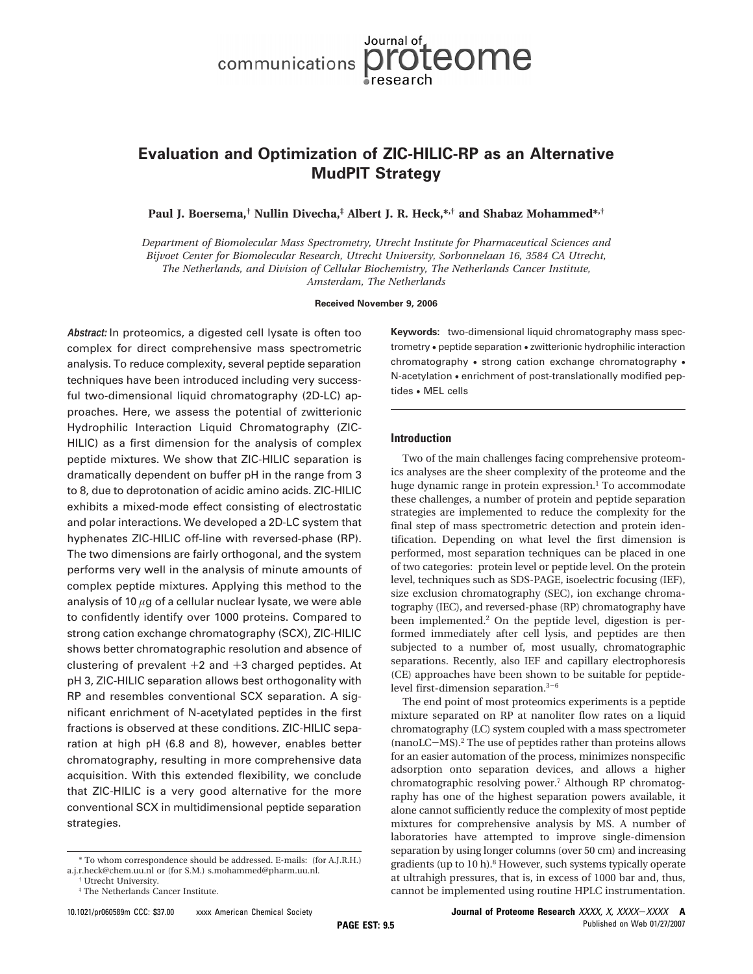# Journal of communications proteome

## **Evaluation and Optimization of ZIC-HILIC-RP as an Alternative MudPIT Strategy**

**Paul J. Boersema,† Nullin Divecha,‡ Albert J. R. Heck,\*,† and Shabaz Mohammed\*,†**

*Department of Biomolecular Mass Spectrometry, Utrecht Institute for Pharmaceutical Sciences and Bijvoet Center for Biomolecular Research, Utrecht University, Sorbonnelaan 16, 3584 CA Utrecht, The Netherlands, and Division of Cellular Biochemistry, The Netherlands Cancer Institute, Amsterdam, The Netherlands*

**Received November 9, 2006**

**Abstract:** In proteomics, a digested cell lysate is often too complex for direct comprehensive mass spectrometric analysis. To reduce complexity, several peptide separation techniques have been introduced including very successful two-dimensional liquid chromatography (2D-LC) approaches. Here, we assess the potential of zwitterionic Hydrophilic Interaction Liquid Chromatography (ZIC-HILIC) as a first dimension for the analysis of complex peptide mixtures. We show that ZIC-HILIC separation is dramatically dependent on buffer pH in the range from 3 to 8, due to deprotonation of acidic amino acids. ZIC-HILIC exhibits a mixed-mode effect consisting of electrostatic and polar interactions. We developed a 2D-LC system that hyphenates ZIC-HILIC off-line with reversed-phase (RP). The two dimensions are fairly orthogonal, and the system performs very well in the analysis of minute amounts of complex peptide mixtures. Applying this method to the analysis of 10 *µ*g of a cellular nuclear lysate, we were able to confidently identify over 1000 proteins. Compared to strong cation exchange chromatography (SCX), ZIC-HILIC shows better chromatographic resolution and absence of clustering of prevalent  $+2$  and  $+3$  charged peptides. At pH 3, ZIC-HILIC separation allows best orthogonality with RP and resembles conventional SCX separation. A significant enrichment of N-acetylated peptides in the first fractions is observed at these conditions. ZIC-HILIC separation at high pH (6.8 and 8), however, enables better chromatography, resulting in more comprehensive data acquisition. With this extended flexibility, we conclude that ZIC-HILIC is a very good alternative for the more conventional SCX in multidimensional peptide separation strategies.

**Keywords:** two-dimensional liquid chromatography mass spectrometry • peptide separation • zwitterionic hydrophilic interaction chromatography • strong cation exchange chromatography • N-acetylation • enrichment of post-translationally modified peptides • MEL cells

### **Introduction**

Two of the main challenges facing comprehensive proteomics analyses are the sheer complexity of the proteome and the huge dynamic range in protein expression.<sup>1</sup> To accommodate these challenges, a number of protein and peptide separation strategies are implemented to reduce the complexity for the final step of mass spectrometric detection and protein identification. Depending on what level the first dimension is performed, most separation techniques can be placed in one of two categories: protein level or peptide level. On the protein level, techniques such as SDS-PAGE, isoelectric focusing (IEF), size exclusion chromatography (SEC), ion exchange chromatography (IEC), and reversed-phase (RP) chromatography have been implemented.2 On the peptide level, digestion is performed immediately after cell lysis, and peptides are then subjected to a number of, most usually, chromatographic separations. Recently, also IEF and capillary electrophoresis (CE) approaches have been shown to be suitable for peptidelevel first-dimension separation.3-<sup>6</sup>

The end point of most proteomics experiments is a peptide mixture separated on RP at nanoliter flow rates on a liquid chromatography (LC) system coupled with a mass spectrometer (nanoLC-MS).2 The use of peptides rather than proteins allows for an easier automation of the process, minimizes nonspecific adsorption onto separation devices, and allows a higher chromatographic resolving power.7 Although RP chromatography has one of the highest separation powers available, it alone cannot sufficiently reduce the complexity of most peptide mixtures for comprehensive analysis by MS. A number of laboratories have attempted to improve single-dimension separation by using longer columns (over 50 cm) and increasing gradients (up to 10 h).<sup>8</sup> However, such systems typically operate at ultrahigh pressures, that is, in excess of 1000 bar and, thus, cannot be implemented using routine HPLC instrumentation.

<sup>\*</sup> To whom correspondence should be addressed. E-mails: (for A.J.R.H.) a.j.r.heck@chem.uu.nl or (for S.M.) s.mohammed@pharm.uu.nl.

<sup>†</sup> Utrecht University.

<sup>‡</sup> The Netherlands Cancer Institute.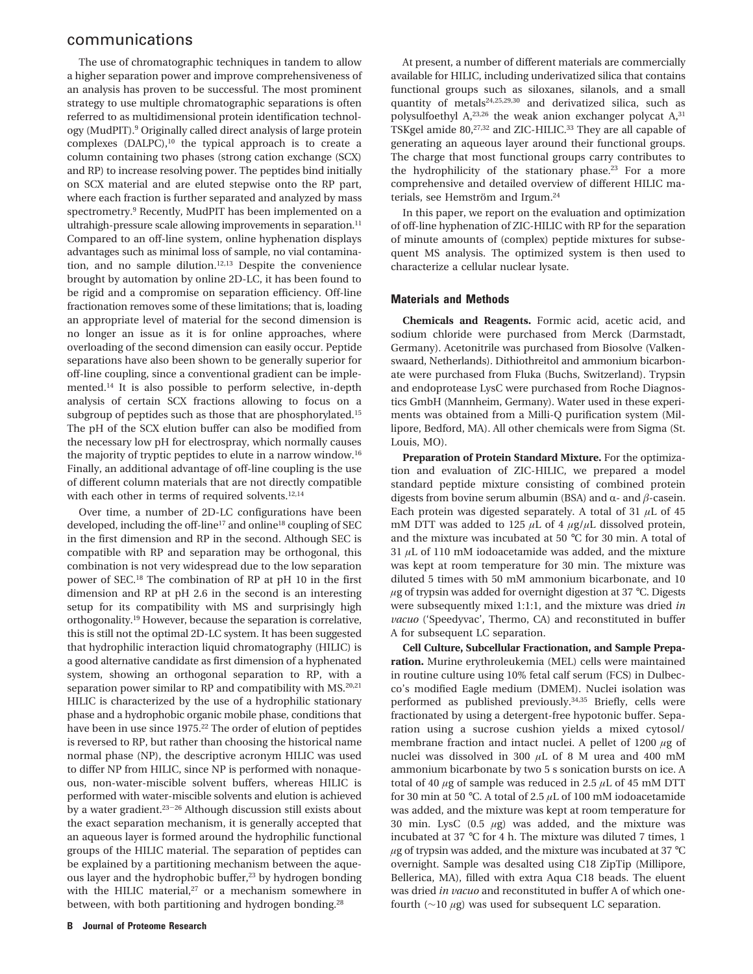The use of chromatographic techniques in tandem to allow a higher separation power and improve comprehensiveness of an analysis has proven to be successful. The most prominent strategy to use multiple chromatographic separations is often referred to as multidimensional protein identification technology (MudPIT).9 Originally called direct analysis of large protein complexes (DALPC),<sup>10</sup> the typical approach is to create a column containing two phases (strong cation exchange (SCX) and RP) to increase resolving power. The peptides bind initially on SCX material and are eluted stepwise onto the RP part, where each fraction is further separated and analyzed by mass spectrometry.9 Recently, MudPIT has been implemented on a ultrahigh-pressure scale allowing improvements in separation.<sup>11</sup> Compared to an off-line system, online hyphenation displays advantages such as minimal loss of sample, no vial contamination, and no sample dilution.<sup>12,13</sup> Despite the convenience brought by automation by online 2D-LC, it has been found to be rigid and a compromise on separation efficiency. Off-line fractionation removes some of these limitations; that is, loading an appropriate level of material for the second dimension is no longer an issue as it is for online approaches, where overloading of the second dimension can easily occur. Peptide separations have also been shown to be generally superior for off-line coupling, since a conventional gradient can be implemented.14 It is also possible to perform selective, in-depth analysis of certain SCX fractions allowing to focus on a subgroup of peptides such as those that are phosphorylated.<sup>15</sup> The pH of the SCX elution buffer can also be modified from the necessary low pH for electrospray, which normally causes the majority of tryptic peptides to elute in a narrow window.16 Finally, an additional advantage of off-line coupling is the use of different column materials that are not directly compatible with each other in terms of required solvents.<sup>12,14</sup>

Over time, a number of 2D-LC configurations have been developed, including the off-line<sup>17</sup> and online<sup>18</sup> coupling of SEC in the first dimension and RP in the second. Although SEC is compatible with RP and separation may be orthogonal, this combination is not very widespread due to the low separation power of SEC.18 The combination of RP at pH 10 in the first dimension and RP at pH 2.6 in the second is an interesting setup for its compatibility with MS and surprisingly high orthogonality.19 However, because the separation is correlative, this is still not the optimal 2D-LC system. It has been suggested that hydrophilic interaction liquid chromatography (HILIC) is a good alternative candidate as first dimension of a hyphenated system, showing an orthogonal separation to RP, with a separation power similar to RP and compatibility with  $MS.^{20,21}$ HILIC is characterized by the use of a hydrophilic stationary phase and a hydrophobic organic mobile phase, conditions that have been in use since 1975.<sup>22</sup> The order of elution of peptides is reversed to RP, but rather than choosing the historical name normal phase (NP), the descriptive acronym HILIC was used to differ NP from HILIC, since NP is performed with nonaqueous, non-water-miscible solvent buffers, whereas HILIC is performed with water-miscible solvents and elution is achieved by a water gradient.<sup>23-26</sup> Although discussion still exists about the exact separation mechanism, it is generally accepted that an aqueous layer is formed around the hydrophilic functional groups of the HILIC material. The separation of peptides can be explained by a partitioning mechanism between the aqueous layer and the hydrophobic buffer, $23$  by hydrogen bonding with the HILIC material,<sup>27</sup> or a mechanism somewhere in between, with both partitioning and hydrogen bonding.<sup>28</sup>

At present, a number of different materials are commercially available for HILIC, including underivatized silica that contains functional groups such as siloxanes, silanols, and a small quantity of metals<sup>24,25,29,30</sup> and derivatized silica, such as polysulfoethyl A,<sup>23,26</sup> the weak anion exchanger polycat A,<sup>31</sup> TSKgel amide 80,<sup>27,32</sup> and ZIC-HILIC.<sup>33</sup> They are all capable of generating an aqueous layer around their functional groups. The charge that most functional groups carry contributes to the hydrophilicity of the stationary phase.23 For a more comprehensive and detailed overview of different HILIC materials, see Hemström and Irgum.<sup>24</sup>

In this paper, we report on the evaluation and optimization of off-line hyphenation of ZIC-HILIC with RP for the separation of minute amounts of (complex) peptide mixtures for subsequent MS analysis. The optimized system is then used to characterize a cellular nuclear lysate.

#### **Materials and Methods**

**Chemicals and Reagents.** Formic acid, acetic acid, and sodium chloride were purchased from Merck (Darmstadt, Germany). Acetonitrile was purchased from Biosolve (Valkenswaard, Netherlands). Dithiothreitol and ammonium bicarbonate were purchased from Fluka (Buchs, Switzerland). Trypsin and endoprotease LysC were purchased from Roche Diagnostics GmbH (Mannheim, Germany). Water used in these experiments was obtained from a Milli-Q purification system (Millipore, Bedford, MA). All other chemicals were from Sigma (St. Louis, MO).

**Preparation of Protein Standard Mixture.** For the optimization and evaluation of ZIC-HILIC, we prepared a model standard peptide mixture consisting of combined protein digests from bovine serum albumin (BSA) and  $\alpha$ - and  $\beta$ -casein. Each protein was digested separately. A total of 31 *µ*L of 45 mM DTT was added to 125  $\mu$ L of 4  $\mu$ g/ $\mu$ L dissolved protein, and the mixture was incubated at 50 °C for 30 min. A total of 31 *µ*L of 110 mM iodoacetamide was added, and the mixture was kept at room temperature for 30 min. The mixture was diluted 5 times with 50 mM ammonium bicarbonate, and 10 *µ*g of trypsin was added for overnight digestion at 37 °C. Digests were subsequently mixed 1:1:1, and the mixture was dried *in vacuo* ('Speedyvac', Thermo, CA) and reconstituted in buffer A for subsequent LC separation.

**Cell Culture, Subcellular Fractionation, and Sample Preparation.** Murine erythroleukemia (MEL) cells were maintained in routine culture using 10% fetal calf serum (FCS) in Dulbecco's modified Eagle medium (DMEM). Nuclei isolation was performed as published previously.34,35 Briefly, cells were fractionated by using a detergent-free hypotonic buffer. Separation using a sucrose cushion yields a mixed cytosol/ membrane fraction and intact nuclei. A pellet of 1200 *µ*g of nuclei was dissolved in 300 *µ*L of 8 M urea and 400 mM ammonium bicarbonate by two 5 s sonication bursts on ice. A total of 40 *µ*g of sample was reduced in 2.5 *µ*L of 45 mM DTT for 30 min at 50 °C. A total of 2.5 *µ*L of 100 mM iodoacetamide was added, and the mixture was kept at room temperature for 30 min. LysC (0.5 *µ*g) was added, and the mixture was incubated at 37 °C for 4 h. The mixture was diluted 7 times, 1  $\mu$ g of trypsin was added, and the mixture was incubated at 37 °C overnight. Sample was desalted using C18 ZipTip (Millipore, Bellerica, MA), filled with extra Aqua C18 beads. The eluent was dried *in vacuo* and reconstituted in buffer A of which onefourth (∼10 *µ*g) was used for subsequent LC separation.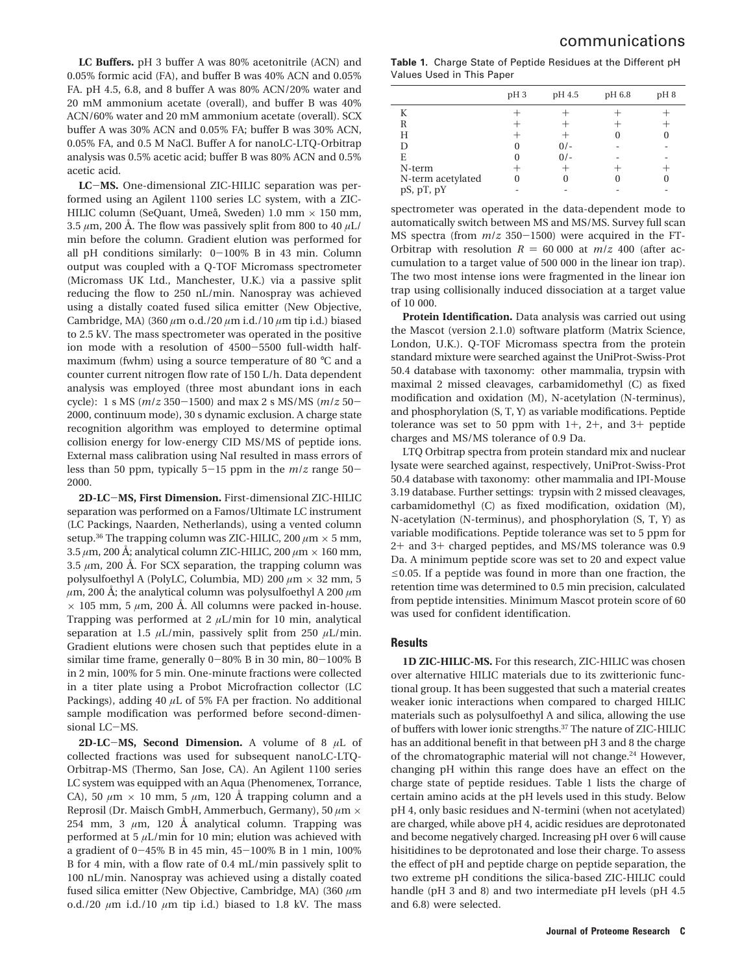**LC Buffers.** pH 3 buffer A was 80% acetonitrile (ACN) and 0.05% formic acid (FA), and buffer B was 40% ACN and 0.05% FA. pH 4.5, 6.8, and 8 buffer A was 80% ACN/20% water and 20 mM ammonium acetate (overall), and buffer B was 40% ACN/60% water and 20 mM ammonium acetate (overall). SCX buffer A was 30% ACN and 0.05% FA; buffer B was 30% ACN, 0.05% FA, and 0.5 M NaCl. Buffer A for nanoLC-LTQ-Orbitrap analysis was 0.5% acetic acid; buffer B was 80% ACN and 0.5% acetic acid.

**LC**-**MS.** One-dimensional ZIC-HILIC separation was performed using an Agilent 1100 series LC system, with a ZIC-HILIC column (SeQuant, Umeå, Sweden) 1.0 mm  $\times$  150 mm, 3.5  $\mu$ m, 200 Å. The flow was passively split from 800 to 40  $\mu$ L/ min before the column. Gradient elution was performed for all pH conditions similarly: 0-100% B in 43 min. Column output was coupled with a Q-TOF Micromass spectrometer (Micromass UK Ltd., Manchester, U.K.) via a passive split reducing the flow to 250 nL/min. Nanospray was achieved using a distally coated fused silica emitter (New Objective, Cambridge, MA) (360 *µ*m o.d./20 *µ*m i.d./10 *µ*m tip i.d.) biased to 2.5 kV. The mass spectrometer was operated in the positive ion mode with a resolution of 4500-5500 full-width halfmaximum (fwhm) using a source temperature of 80 °C and a counter current nitrogen flow rate of 150 L/h. Data dependent analysis was employed (three most abundant ions in each cycle): 1 s MS (*m*/*<sup>z</sup>* <sup>350</sup>-1500) and max 2 s MS/MS (*m*/*<sup>z</sup>* <sup>50</sup>- 2000, continuum mode), 30 s dynamic exclusion. A charge state recognition algorithm was employed to determine optimal collision energy for low-energy CID MS/MS of peptide ions. External mass calibration using NaI resulted in mass errors of less than 50 ppm, typically 5-15 ppm in the *<sup>m</sup>*/*<sup>z</sup>* range 50- 2000.

**2D-LC**-**MS, First Dimension.** First-dimensional ZIC-HILIC separation was performed on a Famos/Ultimate LC instrument (LC Packings, Naarden, Netherlands), using a vented column setup.<sup>36</sup> The trapping column was ZIC-HILIC, 200  $\mu$ m  $\times$  5 mm,  $3.5 \mu m$ , 200 Å; analytical column ZIC-HILIC, 200  $\mu$ m  $\times$  160 mm, 3.5  $\mu$ m, 200 Å. For SCX separation, the trapping column was polysulfoethyl A (PolyLC, Columbia, MD) 200 *µ*m × 32 mm, 5  $\mu$ m, 200 Å; the analytical column was polysulfoethyl A 200  $\mu$ m  $\times$  105 mm, 5  $\mu$ m, 200 Å. All columns were packed in-house. Trapping was performed at 2 *µ*L/min for 10 min, analytical separation at 1.5 *µ*L/min, passively split from 250 *µ*L/min. Gradient elutions were chosen such that peptides elute in a similar time frame, generally 0-80% B in 30 min, 80-100% B in 2 min, 100% for 5 min. One-minute fractions were collected in a titer plate using a Probot Microfraction collector (LC Packings), adding 40 *µ*L of 5% FA per fraction. No additional sample modification was performed before second-dimensional LC-MS.

**2D-LC**-**MS, Second Dimension.** A volume of 8 *<sup>µ</sup>*L of collected fractions was used for subsequent nanoLC-LTQ-Orbitrap-MS (Thermo, San Jose, CA). An Agilent 1100 series LC system was equipped with an Aqua (Phenomenex, Torrance, CA), 50  $\mu$ m  $\times$  10 mm, 5  $\mu$ m, 120 Å trapping column and a Reprosil (Dr. Maisch GmbH, Ammerbuch, Germany), 50 *µ*m × 254 mm, 3  $\mu$ m, 120 Å analytical column. Trapping was performed at 5 *µ*L/min for 10 min; elution was achieved with a gradient of 0-45% B in 45 min, 45-100% B in 1 min, 100% B for 4 min, with a flow rate of 0.4 mL/min passively split to 100 nL/min. Nanospray was achieved using a distally coated fused silica emitter (New Objective, Cambridge, MA) (360 *µ*m o.d./20  $\mu$ m i.d./10  $\mu$ m tip i.d.) biased to 1.8 kV. The mass

**Table 1.** Charge State of Peptide Residues at the Different pH Values Used in This Paper

|                   | pH <sub>3</sub> | pH 4.5 | pH 6.8 | pH <sub>8</sub> |
|-------------------|-----------------|--------|--------|-----------------|
| K                 |                 |        |        |                 |
| R                 |                 |        |        |                 |
| Н                 |                 |        |        |                 |
| D                 |                 | $0/-$  |        |                 |
| E                 |                 | $0/-$  |        |                 |
| N-term            |                 |        |        |                 |
| N-term acetylated |                 |        |        |                 |
| pS, pT, pY        |                 |        |        |                 |

spectrometer was operated in the data-dependent mode to automatically switch between MS and MS/MS. Survey full scan MS spectra (from *<sup>m</sup>*/*<sup>z</sup>* <sup>350</sup>-1500) were acquired in the FT-Orbitrap with resolution  $R = 60,000$  at  $m/z$  400 (after accumulation to a target value of 500 000 in the linear ion trap). The two most intense ions were fragmented in the linear ion trap using collisionally induced dissociation at a target value of 10 000.

**Protein Identification.** Data analysis was carried out using the Mascot (version 2.1.0) software platform (Matrix Science, London, U.K.). Q-TOF Micromass spectra from the protein standard mixture were searched against the UniProt-Swiss-Prot 50.4 database with taxonomy: other mammalia, trypsin with maximal 2 missed cleavages, carbamidomethyl (C) as fixed modification and oxidation (M), N-acetylation (N-terminus), and phosphorylation (S, T, Y) as variable modifications. Peptide tolerance was set to 50 ppm with  $1+$ ,  $2+$ , and  $3+$  peptide charges and MS/MS tolerance of 0.9 Da.

LTQ Orbitrap spectra from protein standard mix and nuclear lysate were searched against, respectively, UniProt-Swiss-Prot 50.4 database with taxonomy: other mammalia and IPI-Mouse 3.19 database. Further settings: trypsin with 2 missed cleavages, carbamidomethyl (C) as fixed modification, oxidation (M), N-acetylation (N-terminus), and phosphorylation (S, T, Y) as variable modifications. Peptide tolerance was set to 5 ppm for <sup>2</sup>+ and 3+ charged peptides, and MS/MS tolerance was 0.9 Da. A minimum peptide score was set to 20 and expect value  $\leq$ 0.05. If a peptide was found in more than one fraction, the retention time was determined to 0.5 min precision, calculated from peptide intensities. Minimum Mascot protein score of 60 was used for confident identification.

## **Results**

**1D ZIC-HILIC-MS.** For this research, ZIC-HILIC was chosen over alternative HILIC materials due to its zwitterionic functional group. It has been suggested that such a material creates weaker ionic interactions when compared to charged HILIC materials such as polysulfoethyl A and silica, allowing the use of buffers with lower ionic strengths.37 The nature of ZIC-HILIC has an additional benefit in that between pH 3 and 8 the charge of the chromatographic material will not change.<sup>24</sup> However, changing pH within this range does have an effect on the charge state of peptide residues. Table 1 lists the charge of certain amino acids at the pH levels used in this study. Below pH 4, only basic residues and N-termini (when not acetylated) are charged, while above pH 4, acidic residues are deprotonated and become negatively charged. Increasing pH over 6 will cause hisitidines to be deprotonated and lose their charge. To assess the effect of pH and peptide charge on peptide separation, the two extreme pH conditions the silica-based ZIC-HILIC could handle (pH 3 and 8) and two intermediate pH levels (pH 4.5 and 6.8) were selected.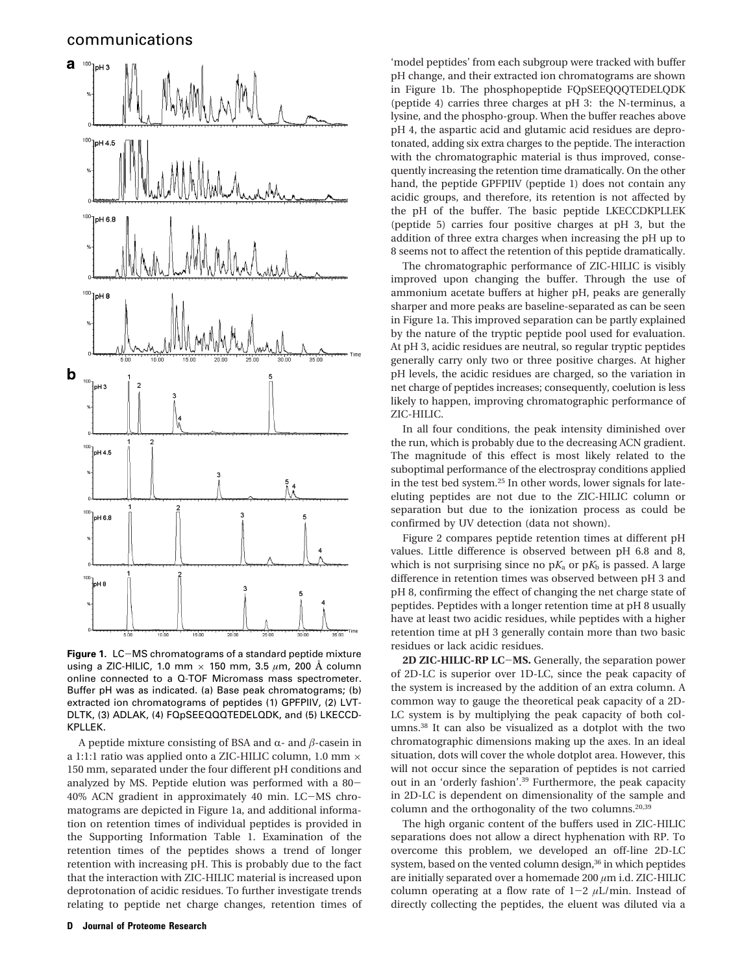

**Figure 1.** LC-MS chromatograms of a standard peptide mixture using a ZIC-HILIC, 1.0 mm × 150 mm, 3.5 *µ*m, 200 Å column online connected to a Q-TOF Micromass mass spectrometer. Buffer pH was as indicated. (a) Base peak chromatograms; (b) extracted ion chromatograms of peptides (1) GPFPIIV, (2) LVT-DLTK, (3) ADLAK, (4) FQpSEEQQQTEDELQDK, and (5) LKECCD-KPLLEK.

A peptide mixture consisting of BSA and  $\alpha$ - and  $\beta$ -casein in a 1:1:1 ratio was applied onto a ZIC-HILIC column, 1.0 mm  $\times$ 150 mm, separated under the four different pH conditions and analyzed by MS. Peptide elution was performed with a 80- 40% ACN gradient in approximately 40 min. LC-MS chromatograms are depicted in Figure 1a, and additional information on retention times of individual peptides is provided in the Supporting Information Table 1. Examination of the retention times of the peptides shows a trend of longer retention with increasing pH. This is probably due to the fact that the interaction with ZIC-HILIC material is increased upon deprotonation of acidic residues. To further investigate trends relating to peptide net charge changes, retention times of

'model peptides' from each subgroup were tracked with buffer pH change, and their extracted ion chromatograms are shown in Figure 1b. The phosphopeptide FQpSEEQQQTEDELQDK (peptide 4) carries three charges at pH 3: the N-terminus, a lysine, and the phospho-group. When the buffer reaches above pH 4, the aspartic acid and glutamic acid residues are deprotonated, adding six extra charges to the peptide. The interaction with the chromatographic material is thus improved, consequently increasing the retention time dramatically. On the other hand, the peptide GPFPIIV (peptide 1) does not contain any acidic groups, and therefore, its retention is not affected by the pH of the buffer. The basic peptide LKECCDKPLLEK (peptide 5) carries four positive charges at pH 3, but the addition of three extra charges when increasing the pH up to 8 seems not to affect the retention of this peptide dramatically.

The chromatographic performance of ZIC-HILIC is visibly improved upon changing the buffer. Through the use of ammonium acetate buffers at higher pH, peaks are generally sharper and more peaks are baseline-separated as can be seen in Figure 1a. This improved separation can be partly explained by the nature of the tryptic peptide pool used for evaluation. At pH 3, acidic residues are neutral, so regular tryptic peptides generally carry only two or three positive charges. At higher pH levels, the acidic residues are charged, so the variation in net charge of peptides increases; consequently, coelution is less likely to happen, improving chromatographic performance of ZIC-HILIC.

In all four conditions, the peak intensity diminished over the run, which is probably due to the decreasing ACN gradient. The magnitude of this effect is most likely related to the suboptimal performance of the electrospray conditions applied in the test bed system.25 In other words, lower signals for lateeluting peptides are not due to the ZIC-HILIC column or separation but due to the ionization process as could be confirmed by UV detection (data not shown).

Figure 2 compares peptide retention times at different pH values. Little difference is observed between pH 6.8 and 8, which is not surprising since no  $pK_a$  or  $pK_b$  is passed. A large difference in retention times was observed between pH 3 and pH 8, confirming the effect of changing the net charge state of peptides. Peptides with a longer retention time at pH 8 usually have at least two acidic residues, while peptides with a higher retention time at pH 3 generally contain more than two basic residues or lack acidic residues.

**2D ZIC-HILIC-RP LC**-**MS.** Generally, the separation power of 2D-LC is superior over 1D-LC, since the peak capacity of the system is increased by the addition of an extra column. A common way to gauge the theoretical peak capacity of a 2D-LC system is by multiplying the peak capacity of both columns.38 It can also be visualized as a dotplot with the two chromatographic dimensions making up the axes. In an ideal situation, dots will cover the whole dotplot area. However, this will not occur since the separation of peptides is not carried out in an 'orderly fashion'.39 Furthermore, the peak capacity in 2D-LC is dependent on dimensionality of the sample and column and the orthogonality of the two columns.20,39

The high organic content of the buffers used in ZIC-HILIC separations does not allow a direct hyphenation with RP. To overcome this problem, we developed an off-line 2D-LC system, based on the vented column design,<sup>36</sup> in which peptides are initially separated over a homemade 200 *µ*m i.d. ZIC-HILIC column operating at a flow rate of  $1-2$   $\mu$ L/min. Instead of directly collecting the peptides, the eluent was diluted via a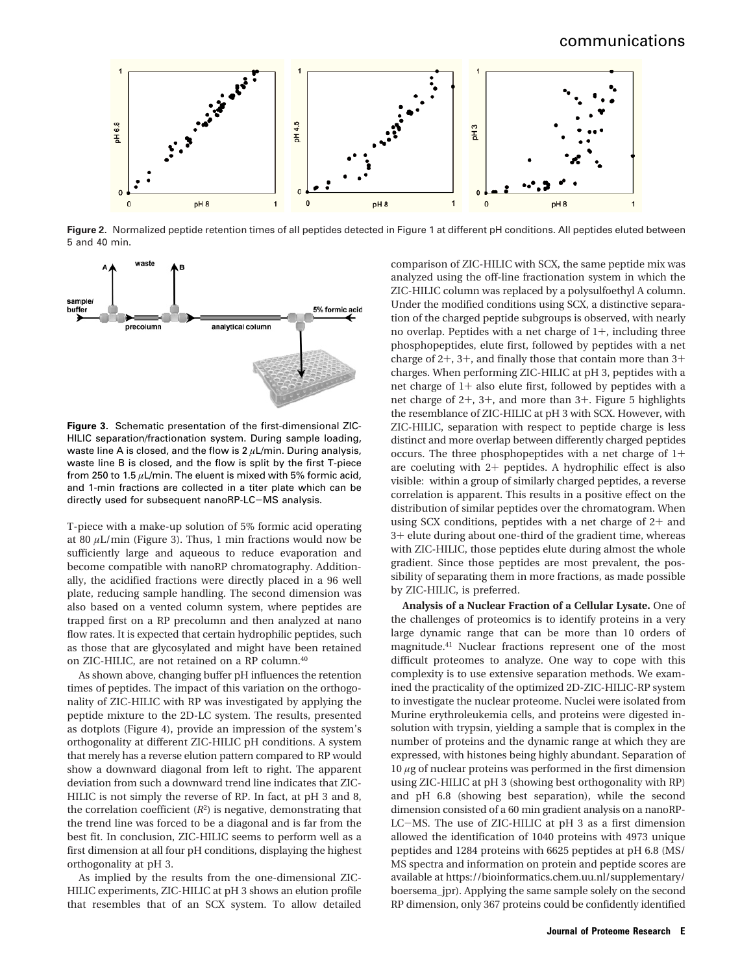

**Figure 2.** Normalized peptide retention times of all peptides detected in Figure 1 at different pH conditions. All peptides eluted between 5 and 40 min.



**Figure 3.** Schematic presentation of the first-dimensional ZIC-HILIC separation/fractionation system. During sample loading, waste line A is closed, and the flow is 2  $\mu$ L/min. During analysis, waste line B is closed, and the flow is split by the first T-piece from 250 to 1.5 *µ*L/min. The eluent is mixed with 5% formic acid, and 1-min fractions are collected in a titer plate which can be directly used for subsequent nanoRP-LC-MS analysis.

T-piece with a make-up solution of 5% formic acid operating at 80 *µ*L/min (Figure 3). Thus, 1 min fractions would now be sufficiently large and aqueous to reduce evaporation and become compatible with nanoRP chromatography. Additionally, the acidified fractions were directly placed in a 96 well plate, reducing sample handling. The second dimension was also based on a vented column system, where peptides are trapped first on a RP precolumn and then analyzed at nano flow rates. It is expected that certain hydrophilic peptides, such as those that are glycosylated and might have been retained on ZIC-HILIC, are not retained on a RP column.40

As shown above, changing buffer pH influences the retention times of peptides. The impact of this variation on the orthogonality of ZIC-HILIC with RP was investigated by applying the peptide mixture to the 2D-LC system. The results, presented as dotplots (Figure 4), provide an impression of the system's orthogonality at different ZIC-HILIC pH conditions. A system that merely has a reverse elution pattern compared to RP would show a downward diagonal from left to right. The apparent deviation from such a downward trend line indicates that ZIC-HILIC is not simply the reverse of RP. In fact, at pH 3 and 8, the correlation coefficient  $(R^2)$  is negative, demonstrating that the trend line was forced to be a diagonal and is far from the best fit. In conclusion, ZIC-HILIC seems to perform well as a first dimension at all four pH conditions, displaying the highest orthogonality at pH 3.

As implied by the results from the one-dimensional ZIC-HILIC experiments, ZIC-HILIC at pH 3 shows an elution profile that resembles that of an SCX system. To allow detailed comparison of ZIC-HILIC with SCX, the same peptide mix was analyzed using the off-line fractionation system in which the ZIC-HILIC column was replaced by a polysulfoethyl A column. Under the modified conditions using SCX, a distinctive separation of the charged peptide subgroups is observed, with nearly no overlap. Peptides with a net charge of 1+, including three phosphopeptides, elute first, followed by peptides with a net charge of 2+, 3+, and finally those that contain more than 3+ charges. When performing ZIC-HILIC at pH 3, peptides with a net charge of 1+ also elute first, followed by peptides with a net charge of 2+, 3+, and more than 3+. Figure 5 highlights the resemblance of ZIC-HILIC at pH 3 with SCX. However, with ZIC-HILIC, separation with respect to peptide charge is less distinct and more overlap between differently charged peptides occurs. The three phosphopeptides with a net charge of 1+ are coeluting with 2+ peptides. A hydrophilic effect is also visible: within a group of similarly charged peptides, a reverse correlation is apparent. This results in a positive effect on the distribution of similar peptides over the chromatogram. When using SCX conditions, peptides with a net charge of 2+ and <sup>3</sup>+ elute during about one-third of the gradient time, whereas with ZIC-HILIC, those peptides elute during almost the whole gradient. Since those peptides are most prevalent, the possibility of separating them in more fractions, as made possible by ZIC-HILIC, is preferred.

**Analysis of a Nuclear Fraction of a Cellular Lysate.** One of the challenges of proteomics is to identify proteins in a very large dynamic range that can be more than 10 orders of magnitude.41 Nuclear fractions represent one of the most difficult proteomes to analyze. One way to cope with this complexity is to use extensive separation methods. We examined the practicality of the optimized 2D-ZIC-HILIC-RP system to investigate the nuclear proteome. Nuclei were isolated from Murine erythroleukemia cells, and proteins were digested insolution with trypsin, yielding a sample that is complex in the number of proteins and the dynamic range at which they are expressed, with histones being highly abundant. Separation of 10 *µ*g of nuclear proteins was performed in the first dimension using ZIC-HILIC at pH 3 (showing best orthogonality with RP) and pH 6.8 (showing best separation), while the second dimension consisted of a 60 min gradient analysis on a nanoRP-LC-MS. The use of ZIC-HILIC at pH 3 as a first dimension allowed the identification of 1040 proteins with 4973 unique peptides and 1284 proteins with 6625 peptides at pH 6.8 (MS/ MS spectra and information on protein and peptide scores are available at https://bioinformatics.chem.uu.nl/supplementary/ boersema\_jpr). Applying the same sample solely on the second RP dimension, only 367 proteins could be confidently identified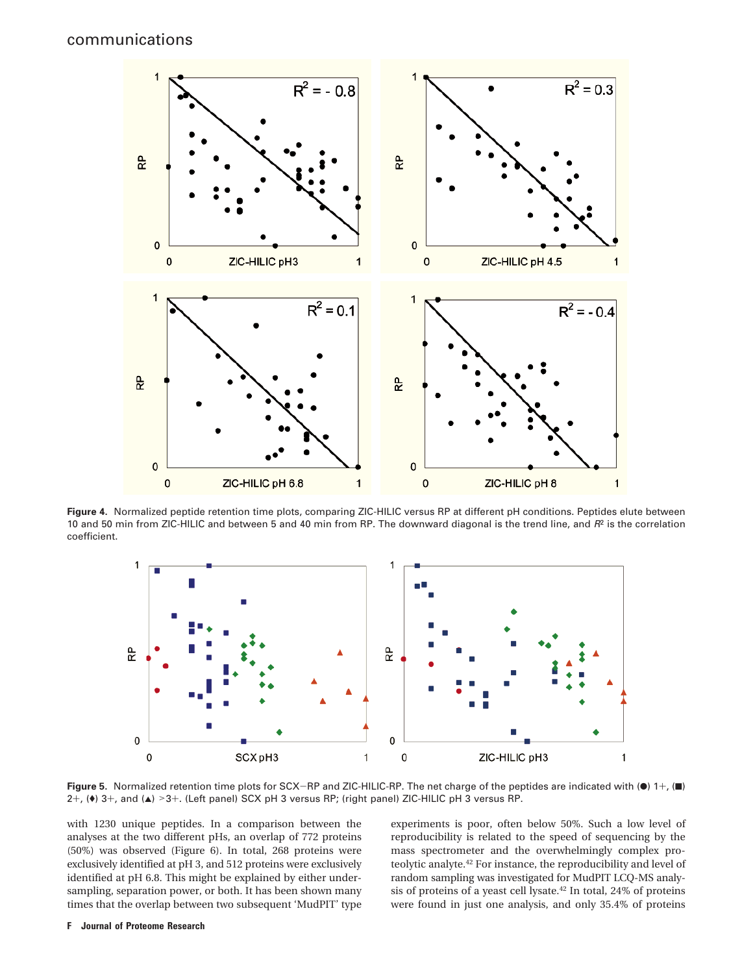

**Figure 4.** Normalized peptide retention time plots, comparing ZIC-HILIC versus RP at different pH conditions. Peptides elute between 10 and 50 min from ZIC-HILIC and between 5 and 40 min from RP. The downward diagonal is the trend line, and  $R^2$  is the correlation coefficient.



**Figure 5.** Normalized retention time plots for SCX-RP and ZIC-HILIC-RP. The net charge of the peptides are indicated with ( $\bullet$ ) 1+, ( $\blacksquare$ ) 2+,  $(*)$  3+, and  $(A)$  >3+. (Left panel) SCX pH 3 versus RP; (right panel) ZIC-HILIC pH 3 versus RP.

with 1230 unique peptides. In a comparison between the analyses at the two different pHs, an overlap of 772 proteins (50%) was observed (Figure 6). In total, 268 proteins were exclusively identified at pH 3, and 512 proteins were exclusively identified at pH 6.8. This might be explained by either undersampling, separation power, or both. It has been shown many times that the overlap between two subsequent 'MudPIT' type experiments is poor, often below 50%. Such a low level of reproducibility is related to the speed of sequencing by the mass spectrometer and the overwhelmingly complex proteolytic analyte.42 For instance, the reproducibility and level of random sampling was investigated for MudPIT LCQ-MS analysis of proteins of a yeast cell lysate.42 In total, 24% of proteins were found in just one analysis, and only 35.4% of proteins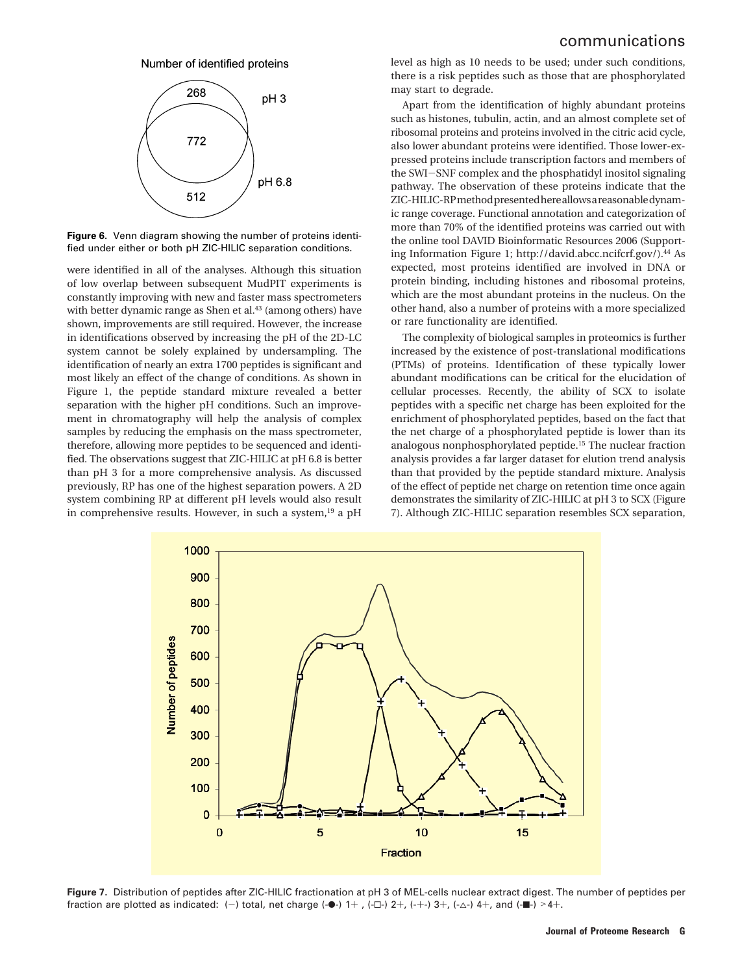#### Number of identified proteins



**Figure 6.** Venn diagram showing the number of proteins identified under either or both pH ZIC-HILIC separation conditions.

were identified in all of the analyses. Although this situation of low overlap between subsequent MudPIT experiments is constantly improving with new and faster mass spectrometers with better dynamic range as Shen et al.<sup>43</sup> (among others) have shown, improvements are still required. However, the increase in identifications observed by increasing the pH of the 2D-LC system cannot be solely explained by undersampling. The identification of nearly an extra 1700 peptides is significant and most likely an effect of the change of conditions. As shown in Figure 1, the peptide standard mixture revealed a better separation with the higher pH conditions. Such an improvement in chromatography will help the analysis of complex samples by reducing the emphasis on the mass spectrometer, therefore, allowing more peptides to be sequenced and identified. The observations suggest that ZIC-HILIC at pH 6.8 is better than pH 3 for a more comprehensive analysis. As discussed previously, RP has one of the highest separation powers. A 2D system combining RP at different pH levels would also result in comprehensive results. However, in such a system, $19$  a pH

level as high as 10 needs to be used; under such conditions, there is a risk peptides such as those that are phosphorylated may start to degrade.

Apart from the identification of highly abundant proteins such as histones, tubulin, actin, and an almost complete set of ribosomal proteins and proteins involved in the citric acid cycle, also lower abundant proteins were identified. Those lower-expressed proteins include transcription factors and members of the SWI-SNF complex and the phosphatidyl inositol signaling pathway. The observation of these proteins indicate that the ZIC-HILIC-RPmethodpresentedhereallowsareasonabledynamic range coverage. Functional annotation and categorization of more than 70% of the identified proteins was carried out with the online tool DAVID Bioinformatic Resources 2006 (Supporting Information Figure 1; http://david.abcc.ncifcrf.gov/).<sup>44</sup> As expected, most proteins identified are involved in DNA or protein binding, including histones and ribosomal proteins, which are the most abundant proteins in the nucleus. On the other hand, also a number of proteins with a more specialized or rare functionality are identified.

The complexity of biological samples in proteomics is further increased by the existence of post-translational modifications (PTMs) of proteins. Identification of these typically lower abundant modifications can be critical for the elucidation of cellular processes. Recently, the ability of SCX to isolate peptides with a specific net charge has been exploited for the enrichment of phosphorylated peptides, based on the fact that the net charge of a phosphorylated peptide is lower than its analogous nonphosphorylated peptide.15 The nuclear fraction analysis provides a far larger dataset for elution trend analysis than that provided by the peptide standard mixture. Analysis of the effect of peptide net charge on retention time once again demonstrates the similarity of ZIC-HILIC at pH 3 to SCX (Figure 7). Although ZIC-HILIC separation resembles SCX separation,



**Figure 7.** Distribution of peptides after ZIC-HILIC fractionation at pH 3 of MEL-cells nuclear extract digest. The number of peptides per fraction are plotted as indicated: (-) total, net charge (- $\bullet$ -) 1+, (- $\Box$ -) 2+, (- $\leftrightarrow$ -) 3+, (- $\triangle$ -) 4+, and (- $\blacksquare$ -) >4+.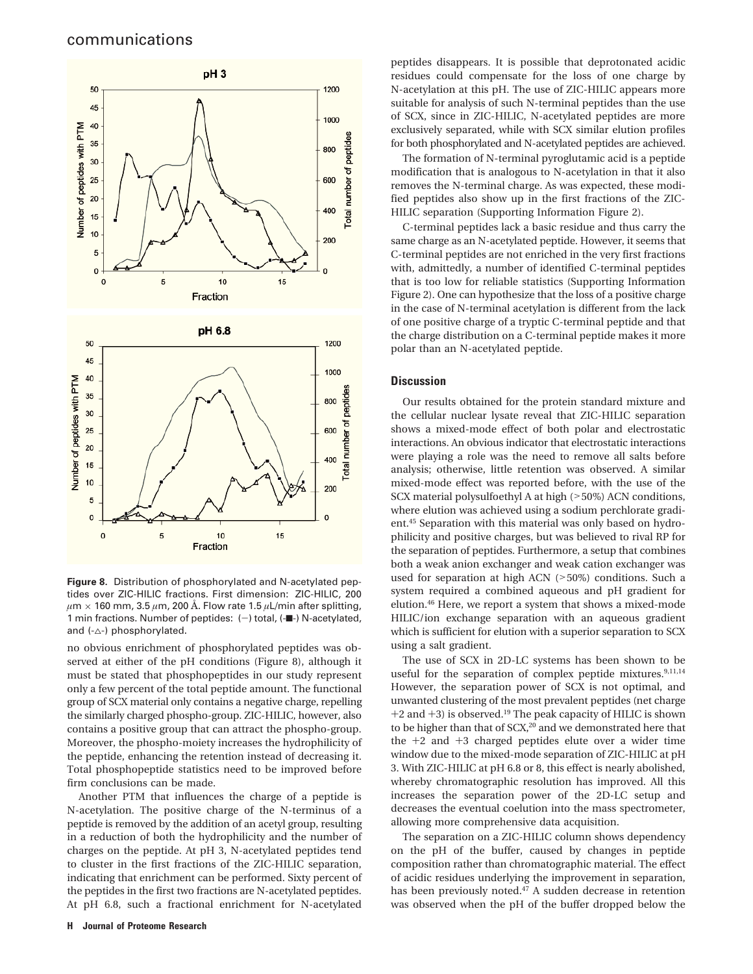

**Figure 8.** Distribution of phosphorylated and N-acetylated peptides over ZIC-HILIC fractions. First dimension: ZIC-HILIC, 200 *µ*m × 160 mm, 3.5 *µ*m, 200 Å. Flow rate 1.5 *µ*L/min after splitting, 1 min fractions. Number of peptides:  $(-)$  total,  $(-)$  N-acetylated, and  $(-\triangle)$  phosphorylated.

no obvious enrichment of phosphorylated peptides was observed at either of the pH conditions (Figure 8), although it must be stated that phosphopeptides in our study represent only a few percent of the total peptide amount. The functional group of SCX material only contains a negative charge, repelling the similarly charged phospho-group. ZIC-HILIC, however, also contains a positive group that can attract the phospho-group. Moreover, the phospho-moiety increases the hydrophilicity of the peptide, enhancing the retention instead of decreasing it. Total phosphopeptide statistics need to be improved before firm conclusions can be made.

Another PTM that influences the charge of a peptide is N-acetylation. The positive charge of the N-terminus of a peptide is removed by the addition of an acetyl group, resulting in a reduction of both the hydrophilicity and the number of charges on the peptide. At pH 3, N-acetylated peptides tend to cluster in the first fractions of the ZIC-HILIC separation, indicating that enrichment can be performed. Sixty percent of the peptides in the first two fractions are N-acetylated peptides. At pH 6.8, such a fractional enrichment for N-acetylated

peptides disappears. It is possible that deprotonated acidic residues could compensate for the loss of one charge by N-acetylation at this pH. The use of ZIC-HILIC appears more suitable for analysis of such N-terminal peptides than the use of SCX, since in ZIC-HILIC, N-acetylated peptides are more exclusively separated, while with SCX similar elution profiles for both phosphorylated and N-acetylated peptides are achieved.

The formation of N-terminal pyroglutamic acid is a peptide modification that is analogous to N-acetylation in that it also removes the N-terminal charge. As was expected, these modified peptides also show up in the first fractions of the ZIC-HILIC separation (Supporting Information Figure 2).

C-terminal peptides lack a basic residue and thus carry the same charge as an N-acetylated peptide. However, it seems that C-terminal peptides are not enriched in the very first fractions with, admittedly, a number of identified C-terminal peptides that is too low for reliable statistics (Supporting Information Figure 2). One can hypothesize that the loss of a positive charge in the case of N-terminal acetylation is different from the lack of one positive charge of a tryptic C-terminal peptide and that the charge distribution on a C-terminal peptide makes it more polar than an N-acetylated peptide.

### **Discussion**

Our results obtained for the protein standard mixture and the cellular nuclear lysate reveal that ZIC-HILIC separation shows a mixed-mode effect of both polar and electrostatic interactions. An obvious indicator that electrostatic interactions were playing a role was the need to remove all salts before analysis; otherwise, little retention was observed. A similar mixed-mode effect was reported before, with the use of the SCX material polysulfoethyl A at high (>50%) ACN conditions, where elution was achieved using a sodium perchlorate gradient.45 Separation with this material was only based on hydrophilicity and positive charges, but was believed to rival RP for the separation of peptides. Furthermore, a setup that combines both a weak anion exchanger and weak cation exchanger was used for separation at high ACN (>50%) conditions. Such a system required a combined aqueous and pH gradient for elution.46 Here, we report a system that shows a mixed-mode HILIC/ion exchange separation with an aqueous gradient which is sufficient for elution with a superior separation to SCX using a salt gradient.

The use of SCX in 2D-LC systems has been shown to be useful for the separation of complex peptide mixtures. $9,11,14$ However, the separation power of SCX is not optimal, and unwanted clustering of the most prevalent peptides (net charge  $+2$  and  $+3$ ) is observed.<sup>19</sup> The peak capacity of HILIC is shown to be higher than that of SCX,<sup>20</sup> and we demonstrated here that the  $+2$  and  $+3$  charged peptides elute over a wider time window due to the mixed-mode separation of ZIC-HILIC at pH 3. With ZIC-HILIC at pH 6.8 or 8, this effect is nearly abolished, whereby chromatographic resolution has improved. All this increases the separation power of the 2D-LC setup and decreases the eventual coelution into the mass spectrometer, allowing more comprehensive data acquisition.

The separation on a ZIC-HILIC column shows dependency on the pH of the buffer, caused by changes in peptide composition rather than chromatographic material. The effect of acidic residues underlying the improvement in separation, has been previously noted.47 A sudden decrease in retention was observed when the pH of the buffer dropped below the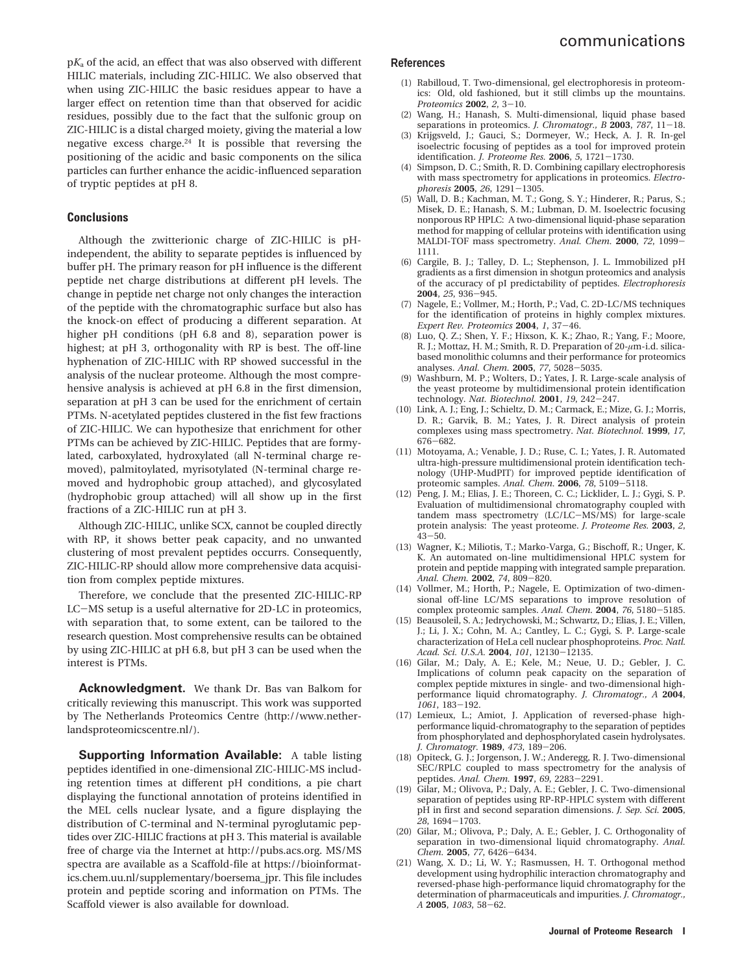p*K*<sup>a</sup> of the acid, an effect that was also observed with different HILIC materials, including ZIC-HILIC. We also observed that when using ZIC-HILIC the basic residues appear to have a larger effect on retention time than that observed for acidic residues, possibly due to the fact that the sulfonic group on ZIC-HILIC is a distal charged moiety, giving the material a low negative excess charge.24 It is possible that reversing the positioning of the acidic and basic components on the silica particles can further enhance the acidic-influenced separation of tryptic peptides at pH 8.

#### **Conclusions**

Although the zwitterionic charge of ZIC-HILIC is pHindependent, the ability to separate peptides is influenced by buffer pH. The primary reason for pH influence is the different peptide net charge distributions at different pH levels. The change in peptide net charge not only changes the interaction of the peptide with the chromatographic surface but also has the knock-on effect of producing a different separation. At higher pH conditions (pH 6.8 and 8), separation power is highest; at pH 3, orthogonality with RP is best. The off-line hyphenation of ZIC-HILIC with RP showed successful in the analysis of the nuclear proteome. Although the most comprehensive analysis is achieved at pH 6.8 in the first dimension, separation at pH 3 can be used for the enrichment of certain PTMs. N-acetylated peptides clustered in the fist few fractions of ZIC-HILIC. We can hypothesize that enrichment for other PTMs can be achieved by ZIC-HILIC. Peptides that are formylated, carboxylated, hydroxylated (all N-terminal charge removed), palmitoylated, myrisotylated (N-terminal charge removed and hydrophobic group attached), and glycosylated (hydrophobic group attached) will all show up in the first fractions of a ZIC-HILIC run at pH 3.

Although ZIC-HILIC, unlike SCX, cannot be coupled directly with RP, it shows better peak capacity, and no unwanted clustering of most prevalent peptides occurrs. Consequently, ZIC-HILIC-RP should allow more comprehensive data acquisition from complex peptide mixtures.

Therefore, we conclude that the presented ZIC-HILIC-RP LC-MS setup is a useful alternative for 2D-LC in proteomics, with separation that, to some extent, can be tailored to the research question. Most comprehensive results can be obtained by using ZIC-HILIC at pH 6.8, but pH 3 can be used when the interest is PTMs.

**Acknowledgment.** We thank Dr. Bas van Balkom for critically reviewing this manuscript. This work was supported by The Netherlands Proteomics Centre (http://www.netherlandsproteomicscentre.nl/).

**Supporting Information Available:** A table listing peptides identified in one-dimensional ZIC-HILIC-MS including retention times at different pH conditions, a pie chart displaying the functional annotation of proteins identified in the MEL cells nuclear lysate, and a figure displaying the distribution of C-terminal and N-terminal pyroglutamic peptides over ZIC-HILIC fractions at pH 3. This material is available free of charge via the Internet at http://pubs.acs.org. MS/MS spectra are available as a Scaffold-file at https://bioinformatics.chem.uu.nl/supplementary/boersema\_jpr. This file includes protein and peptide scoring and information on PTMs. The Scaffold viewer is also available for download.

#### **References**

- (1) Rabilloud, T. Two-dimensional, gel electrophoresis in proteomics: Old, old fashioned, but it still climbs up the mountains. *Proteomics* **<sup>2002</sup>**, *<sup>2</sup>*, 3-10.
- (2) Wang, H.; Hanash, S. Multi-dimensional, liquid phase based separations in proteomics. *J. Chromatogr., B* **<sup>2003</sup>**, *<sup>787</sup>*, 11-18.
- (3) Krijgsveld, J.; Gauci, S.; Dormeyer, W.; Heck, A. J. R. In-gel isoelectric focusing of peptides as a tool for improved protein identification. *J. Proteome Res.* **<sup>2006</sup>**, *<sup>5</sup>*, 1721-1730.
- (4) Simpson, D. C.; Smith, R. D. Combining capillary electrophoresis with mass spectrometry for applications in proteomics. *Electrophoresis* **<sup>2005</sup>**, *<sup>26</sup>*, 1291-1305.
- (5) Wall, D. B.; Kachman, M. T.; Gong, S. Y.; Hinderer, R.; Parus, S.; Misek, D. E.; Hanash, S. M.; Lubman, D. M. Isoelectric focusing nonporous RP HPLC: A two-dimensional liquid-phase separation method for mapping of cellular proteins with identification using MALDI-TOF mass spectrometry. *Anal. Chem.* **<sup>2000</sup>**, *<sup>72</sup>*, 1099- 1111.
- (6) Cargile, B. J.; Talley, D. L.; Stephenson, J. L. Immobilized pH gradients as a first dimension in shotgun proteomics and analysis of the accuracy of pI predictability of peptides. *Electrophoresis* **<sup>2004</sup>**, *<sup>25</sup>*, 936-945.
- (7) Nagele, E.; Vollmer, M.; Horth, P.; Vad, C. 2D-LC/MS techniques for the identification of proteins in highly complex mixtures. *Expert Rev. Proteomics* **<sup>2004</sup>**, *<sup>1</sup>*, 37-46.
- (8) Luo, Q. Z.; Shen, Y. F.; Hixson, K. K.; Zhao, R.; Yang, F.; Moore, R. J.; Mottaz, H. M.; Smith, R. D. Preparation of 20-*µ*m-i.d. silicabased monolithic columns and their performance for proteomics analyses. *Anal. Chem.* **<sup>2005</sup>**, *<sup>77</sup>*, 5028-5035.
- (9) Washburn, M. P.; Wolters, D.; Yates, J. R. Large-scale analysis of the yeast proteome by multidimensional protein identification technology. Nat. Biotechnol.  $2001$ , 19, 242-247. technology. *Nat. Biotechnol.* **<sup>2001</sup>**, *<sup>19</sup>*, 242-247. (10) Link, A. J.; Eng, J.; Schieltz, D. M.; Carmack, E.; Mize, G. J.; Morris,
- D. R.; Garvik, B. M.; Yates, J. R. Direct analysis of protein complexes using mass spectrometry. *Nat. Biotechnol.* **1999**, *17*,
- <sup>676</sup>-682. (11) Motoyama, A.; Venable, J. D.; Ruse, C. I.; Yates, J. R. Automated ultra-high-pressure multidimensional protein identification technology (UHP-MudPIT) for improved peptide identification of proteomic samples. *Anal. Chem.* **<sup>2006</sup>**, *<sup>78</sup>*, 5109-5118.
- (12) Peng, J. M.; Elias, J. E.; Thoreen, C. C.; Licklider, L. J.; Gygi, S. P. Evaluation of multidimensional chromatography coupled with tandem mass spectrometry (LC/LC-MS/MS) for large-scale protein analysis: The yeast proteome. *J. Proteome Res.* **2003**, *2*,
- <sup>43</sup>-50. (13) Wagner, K.; Miliotis, T.; Marko-Varga, G.; Bischoff, R.; Unger, K. K. An automated on-line multidimensional HPLC system for protein and peptide mapping with integrated sample preparation. *Anal. Chem.* **<sup>2002</sup>**, *<sup>74</sup>*, 809-820.
- (14) Vollmer, M.; Horth, P.; Nagele, E. Optimization of two-dimensional off-line LC/MS separations to improve resolution of complex proteomic samples. *Anal. Chem.* **<sup>2004</sup>**, *<sup>76</sup>*, 5180-5185.
- (15) Beausoleil, S. A.; Jedrychowski, M.; Schwartz, D.; Elias, J. E.; Villen, J.; Li, J. X.; Cohn, M. A.; Cantley, L. C.; Gygi, S. P. Large-scale characterization of HeLa cell nuclear phosphoproteins. *Proc. Natl. Acad. Sci. U.S.A.* **<sup>2004</sup>**, *<sup>101</sup>*, 12130-12135.
- (16) Gilar, M.; Daly, A. E.; Kele, M.; Neue, U. D.; Gebler, J. C. Implications of column peak capacity on the separation of complex peptide mixtures in single- and two-dimensional highperformance liquid chromatography. *J. Chromatogr., A* **2004**,
- *<sup>1061</sup>*, 183-192. (17) Lemieux, L.; Amiot, J. Application of reversed-phase highperformance liquid-chromatography to the separation of peptides from phosphorylated and dephosphorylated casein hydrolysates. *J. Chromatogr.* **<sup>1989</sup>**, *<sup>473</sup>*, 189-206.
- (18) Opiteck, G. J.; Jorgenson, J. W.; Anderegg, R. J. Two-dimensional SEC/RPLC coupled to mass spectrometry for the analysis of peptides. *Anal. Chem.* **<sup>1997</sup>**, *<sup>69</sup>*, 2283-2291.
- (19) Gilar, M.; Olivova, P.; Daly, A. E.; Gebler, J. C. Two-dimensional separation of peptides using RP-RP-HPLC system with different pH in first and second separation dimensions. *J. Sep. Sci.* **2005**,
- *<sup>28</sup>*, 1694-1703. (20) Gilar, M.; Olivova, P.; Daly, A. E.; Gebler, J. C. Orthogonality of separation in two-dimensional liquid chromatography. *Anal. Chem.* **<sup>2005</sup>**, *<sup>77</sup>*, 6426-6434.
- (21) Wang, X. D.; Li, W. Y.; Rasmussen, H. T. Orthogonal method development using hydrophilic interaction chromatography and reversed-phase high-performance liquid chromatography for the determination of pharmaceuticals and impurities. *J. Chromatogr., <sup>A</sup>* **<sup>2005</sup>**, *<sup>1083</sup>*, 58-62.